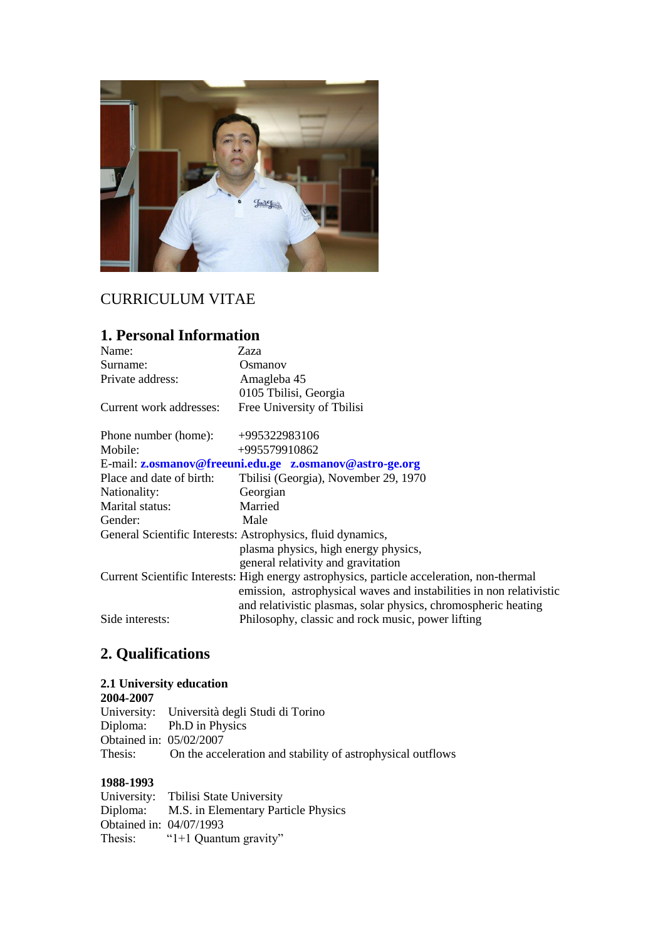

# CURRICULUM VITAE

# **1. Personal Information**

| Name:                                                       | Zaza                                                                                                                                                                                                                                |  |
|-------------------------------------------------------------|-------------------------------------------------------------------------------------------------------------------------------------------------------------------------------------------------------------------------------------|--|
| Surname:                                                    | Osmanov                                                                                                                                                                                                                             |  |
| Private address:                                            | Amagleba 45                                                                                                                                                                                                                         |  |
|                                                             | 0105 Tbilisi, Georgia                                                                                                                                                                                                               |  |
| Current work addresses:                                     | Free University of Tbilisi                                                                                                                                                                                                          |  |
| Phone number (home):                                        | +995322983106                                                                                                                                                                                                                       |  |
| Mobile:                                                     | +995579910862                                                                                                                                                                                                                       |  |
| E-mail: z.osmanov@freeuni.edu.ge z.osmanov@astro-ge.org     |                                                                                                                                                                                                                                     |  |
| Place and date of birth:                                    | Tbilisi (Georgia), November 29, 1970                                                                                                                                                                                                |  |
| Nationality:                                                | Georgian                                                                                                                                                                                                                            |  |
| Marital status:                                             | Married                                                                                                                                                                                                                             |  |
| Gender:                                                     | Male                                                                                                                                                                                                                                |  |
| General Scientific Interests: Astrophysics, fluid dynamics, |                                                                                                                                                                                                                                     |  |
|                                                             | plasma physics, high energy physics,                                                                                                                                                                                                |  |
|                                                             | general relativity and gravitation                                                                                                                                                                                                  |  |
|                                                             | Current Scientific Interests: High energy astrophysics, particle acceleration, non-thermal<br>emission, astrophysical waves and instabilities in non relativistic<br>and relativistic plasmas, solar physics, chromospheric heating |  |
| Side interests:                                             | Philosophy, classic and rock music, power lifting                                                                                                                                                                                   |  |

# **2. Qualifications**

#### **2.1 University education**

**2004-2007** University: Università degli Studi di Torino Ph.D in Physics Obtained in:  $05/02/2007$ <br>Thesis: On the acce On the acceleration and stability of astrophysical outflows

#### **1988-1993**

University: Tbilisi State University<br>Diploma: M.S. in Elementary Part M.S. in Elementary Particle Physics Obtained in: 04/07/1993<br>Thesis: "1+1 Ouanti "1+1 Quantum gravity"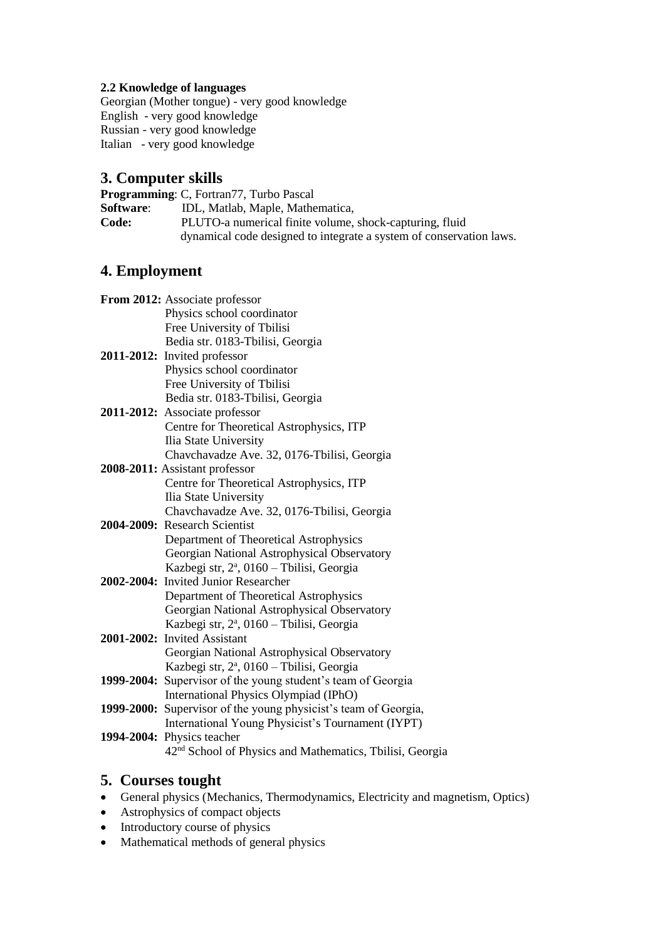#### **2.2 Knowledge of languages**

Georgian (Mother tongue) - very good knowledge English - very good knowledge Russian - very good knowledge Italian - very good knowledge

#### **3. Computer skills**

**Programming**: C, Fortran77, Turbo Pascal **Software**: IDL, Matlab, Maple, Mathematica, **Code:** PLUTO-a numerical finite volume, shock-capturing, fluid dynamical code designed to integrate a system of conservation laws.

## **4. Employment**

| From 2012: Associate professor                                       |
|----------------------------------------------------------------------|
| Physics school coordinator                                           |
| Free University of Tbilisi                                           |
| Bedia str. 0183-Tbilisi, Georgia                                     |
| 2011-2012: Invited professor                                         |
| Physics school coordinator                                           |
| Free University of Tbilisi                                           |
| Bedia str. 0183-Tbilisi, Georgia                                     |
| 2011-2012: Associate professor                                       |
| Centre for Theoretical Astrophysics, ITP                             |
| Ilia State University                                                |
| Chavchavadze Ave. 32, 0176-Tbilisi, Georgia                          |
| 2008-2011: Assistant professor                                       |
| Centre for Theoretical Astrophysics, ITP                             |
| Ilia State University                                                |
| Chavchavadze Ave. 32, 0176-Tbilisi, Georgia                          |
| 2004-2009: Research Scientist                                        |
| Department of Theoretical Astrophysics                               |
| Georgian National Astrophysical Observatory                          |
| Kazbegi str, 2ª, 0160 - Tbilisi, Georgia                             |
| 2002-2004: Invited Junior Researcher                                 |
| Department of Theoretical Astrophysics                               |
| Georgian National Astrophysical Observatory                          |
| Kazbegi str, 2ª, 0160 - Tbilisi, Georgia                             |
| 2001-2002: Invited Assistant                                         |
| Georgian National Astrophysical Observatory                          |
| Kazbegi str, 2ª, 0160 - Tbilisi, Georgia                             |
| 1999-2004: Supervisor of the young student's team of Georgia         |
| International Physics Olympiad (IPhO)                                |
| 1999-2000: Supervisor of the young physicist's team of Georgia,      |
| International Young Physicist's Tournament (IYPT)                    |
| 1994-2004: Physics teacher                                           |
| 42 <sup>nd</sup> School of Physics and Mathematics, Tbilisi, Georgia |

### **5. Courses tought**

- General physics (Mechanics, Thermodynamics, Electricity and magnetism, Optics)
- Astrophysics of compact objects
- Introductory course of physics
- Mathematical methods of general physics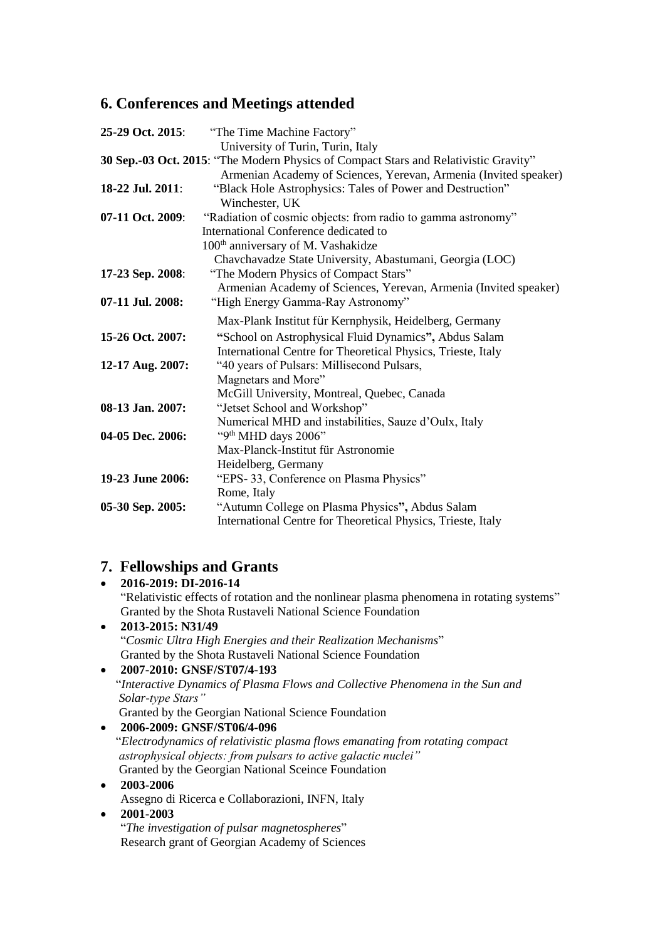## **6. Conferences and Meetings attended**

| 25-29 Oct. 2015:                                                                     | "The Time Machine Factory"                                       |  |
|--------------------------------------------------------------------------------------|------------------------------------------------------------------|--|
|                                                                                      | University of Turin, Turin, Italy                                |  |
| 30 Sep.-03 Oct. 2015: "The Modern Physics of Compact Stars and Relativistic Gravity" |                                                                  |  |
|                                                                                      | Armenian Academy of Sciences, Yerevan, Armenia (Invited speaker) |  |
| 18-22 Jul. 2011:                                                                     | "Black Hole Astrophysics: Tales of Power and Destruction"        |  |
|                                                                                      | Winchester, UK                                                   |  |
| 07-11 Oct. 2009:                                                                     | "Radiation of cosmic objects: from radio to gamma astronomy"     |  |
|                                                                                      | International Conference dedicated to                            |  |
|                                                                                      | 100 <sup>th</sup> anniversary of M. Vashakidze                   |  |
|                                                                                      | Chavchavadze State University, Abastumani, Georgia (LOC)         |  |
| 17-23 Sep. 2008:                                                                     | "The Modern Physics of Compact Stars"                            |  |
|                                                                                      | Armenian Academy of Sciences, Yerevan, Armenia (Invited speaker) |  |
| 07-11 Jul. 2008:                                                                     | "High Energy Gamma-Ray Astronomy"                                |  |
|                                                                                      | Max-Plank Institut für Kernphysik, Heidelberg, Germany           |  |
| 15-26 Oct. 2007:                                                                     | "School on Astrophysical Fluid Dynamics", Abdus Salam            |  |
|                                                                                      | International Centre for Theoretical Physics, Trieste, Italy     |  |
| 12-17 Aug. 2007:                                                                     | "40 years of Pulsars: Millisecond Pulsars,                       |  |
|                                                                                      | Magnetars and More"                                              |  |
|                                                                                      | McGill University, Montreal, Quebec, Canada                      |  |
| 08-13 Jan. 2007:                                                                     | "Jetset School and Workshop"                                     |  |
|                                                                                      | Numerical MHD and instabilities, Sauze d'Oulx, Italy             |  |
| 04-05 Dec. 2006:                                                                     | "9th MHD days 2006"                                              |  |
|                                                                                      | Max-Planck-Institut für Astronomie                               |  |
|                                                                                      | Heidelberg, Germany                                              |  |
| 19-23 June 2006:                                                                     | "EPS-33, Conference on Plasma Physics"                           |  |
|                                                                                      | Rome, Italy                                                      |  |
| 05-30 Sep. 2005:                                                                     | "Autumn College on Plasma Physics", Abdus Salam                  |  |
|                                                                                      | International Centre for Theoretical Physics, Trieste, Italy     |  |
|                                                                                      |                                                                  |  |

## **7. Fellowships and Grants**

 **2016-2019: DI-2016-14** "Relativistic effects of rotation and the nonlinear plasma phenomena in rotating systems" Granted by the Shota Rustaveli National Science Foundation **2013-2015: N31/49** "*Cosmic Ultra High Energies and their Realization Mechanisms*" Granted by the Shota Rustaveli National Science Foundation

## **2007-2010: GNSF/ST07/4-193** "*Interactive Dynamics of Plasma Flows and Collective Phenomena in the Sun and Solar-type Stars"*  Granted by the Georgian National Science Foundation

 **2006-2009: GNSF/ST06/4-096**  "*Electrodynamics of relativistic plasma flows emanating from rotating compact astrophysical objects: from pulsars to active galactic nuclei"* Granted by the Georgian National Sceince Foundation

 **2003-2006** Assegno di Ricerca e Collaborazioni, INFN, Italy

#### **2001-2003**

"*The investigation of pulsar magnetospheres*" Research grant of Georgian Academy of Sciences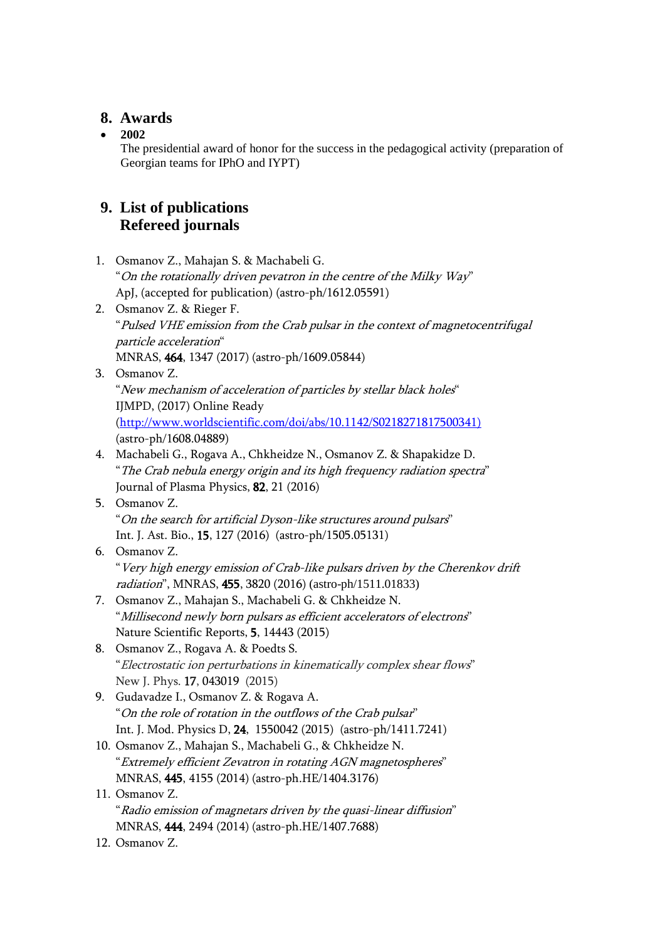## **8. Awards**

#### **2002**

The presidential award of honor for the success in the pedagogical activity (preparation of Georgian teams for IPhO and IYPT)

## **9. List of publications Refereed journals**

- 1. Osmanov Z., Mahajan S. & Machabeli G. "On the rotationally driven pevatron in the centre of the Milky Way" ApJ, (accepted for publication) (astro-ph/1612.05591)
- 2. Osmanov Z. & Rieger F. "Pulsed VHE emission from the Crab pulsar in the context of magnetocentrifugal particle acceleration" MNRAS, 464, 1347 (2017) (astro-ph/1609.05844)
- 3. Osmanov Z.

"New mechanism of acceleration of particles by stellar black holes" IJMPD, (2017) Online Ready

[\(http://www.worldscientific.com/doi/abs/10.1142/S0218271817500341\)](http://www.worldscientific.com/doi/abs/10.1142/S0218271817500341)) (astro-ph/1608.04889)

- 4. Machabeli G., Rogava A., Chkheidze N., Osmanov Z. & Shapakidze D. "The Crab nebula energy origin and its high frequency radiation spectra" Journal of Plasma Physics, 82, 21 (2016)
- 5. Osmanov Z. "On the search for artificial Dyson-like structures around pulsars" Int. J. Ast. Bio., 15, 127 (2016) (astro-ph/1505.05131)

#### 6. Osmanov Z. "Very high energy emission of Crab-like pulsars driven by the Cherenkov drift radiation", MNRAS, 455, 3820 (2016) (astro-ph/1511.01833)

- 7. Osmanov Z., Mahajan S., Machabeli G. & Chkheidze N. "Millisecond newly born pulsars as efficient accelerators of electrons" Nature Scientific Reports, 5, 14443 (2015)
- 8. Osmanov Z., Rogava A. & Poedts S. "Electrostatic ion perturbations in kinematically complex shear flows" New J. Phys. 17, 043019 (2015)
- 9. Gudavadze I., Osmanov Z. & Rogava A. "On the role of rotation in the outflows of the Crab pulsar" Int. J. Mod. Physics D, 24, 1550042 (2015) (astro-ph/1411.7241)
- 10. Osmanov Z., Mahajan S., Machabeli G., & Chkheidze N. "Extremely efficient Zevatron in rotating AGN magnetospheres" MNRAS, 445, 4155 (2014) (astro-ph.HE/1404.3176)
- 11. Osmanov Z. "Radio emission of magnetars driven by the quasi-linear diffusion" MNRAS, 444, 2494 (2014) (astro-ph.HE/1407.7688)
- 12. Osmanov Z.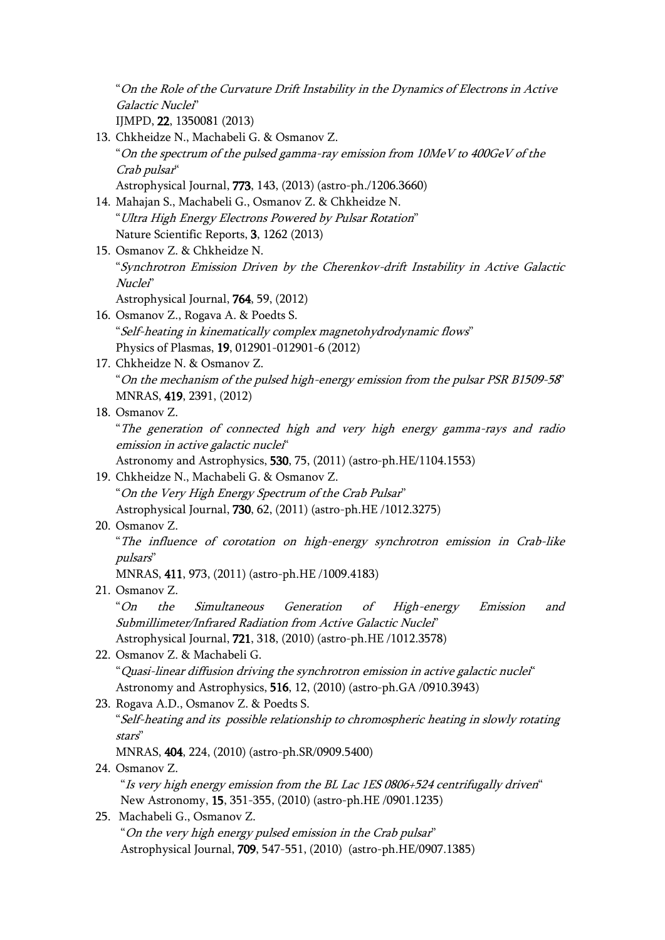"On the Role of the Curvature Drift Instability in the Dynamics of Electrons in Active Galactic Nuclei" IJMPD, 22, 1350081 (2013) 13. Chkheidze N., Machabeli G. & Osmanov Z. "On the spectrum of the pulsed gamma-ray emission from 10MeV to 400GeV of the Crab pulsar" Astrophysical Journal, 773, 143, (2013) (astro-ph./1206.3660) 14. Mahajan S., Machabeli G., Osmanov Z. & Chkheidze N. "Ultra High Energy Electrons Powered by Pulsar Rotation" Nature Scientific Reports, 3, 1262 (2013) 15. Osmanov Z. & Chkheidze N. "Synchrotron Emission Driven by the Cherenkov-drift Instability in Active Galactic Nuclei" Astrophysical Journal, 764, 59, (2012) 16. Osmanov Z., Rogava A. & Poedts S. "Self-heating in kinematically complex magnetohydrodynamic flows" Physics of Plasmas, 19, 012901-012901-6 (2012) 17. Chkheidze N. & Osmanov Z. "On the mechanism of the pulsed high-energy emission from the pulsar PSR B1509-58" MNRAS, 419, 2391, (2012) 18. Osmanov Z. "The generation of connected high and very high energy gamma-rays and radio emission in active galactic nuclei" Astronomy and Astrophysics, 530, 75, (2011) (astro-ph.HE/1104.1553) 19. Chkheidze N., Machabeli G. & Osmanov Z. "On the Very High Energy Spectrum of the Crab Pulsar" Astrophysical Journal, 730, 62, (2011) (astro-ph.HE /1012.3275) 20. Osmanov Z. "The influence of corotation on high-energy synchrotron emission in Crab-like pulsars" MNRAS, 411, 973, (2011) (astro-ph.HE /1009.4183) 21. Osmanov Z. "On the Simultaneous Generation of High-energy Emission and Submillimeter/Infrared Radiation from Active Galactic Nuclei" Astrophysical Journal, 721, 318, (2010) (astro-ph.HE /1012.3578) 22. Osmanov Z. & Machabeli G. "Quasi-linear diffusion driving the synchrotron emission in active galactic nuclei" Astronomy and Astrophysics, 516, 12, (2010) (astro-ph.GA /0910.3943) 23. Rogava A.D., Osmanov Z. & Poedts S. "Self-heating and its possible relationship to chromospheric heating in slowly rotating stars" MNRAS, 404, 224, (2010) (astro-ph.SR/0909.5400) 24. Osmanov Z. "Is very high energy emission from the BL Lac 1ES 0806+524 centrifugally driven" New Astronomy, 15, 351-355, (2010) (astro-ph.HE /0901.1235) 25. Machabeli G., Osmanov Z. "On the very high energy pulsed emission in the Crab pulsar" Astrophysical Journal, 709, 547-551, (2010) (astro-ph.HE/0907.1385)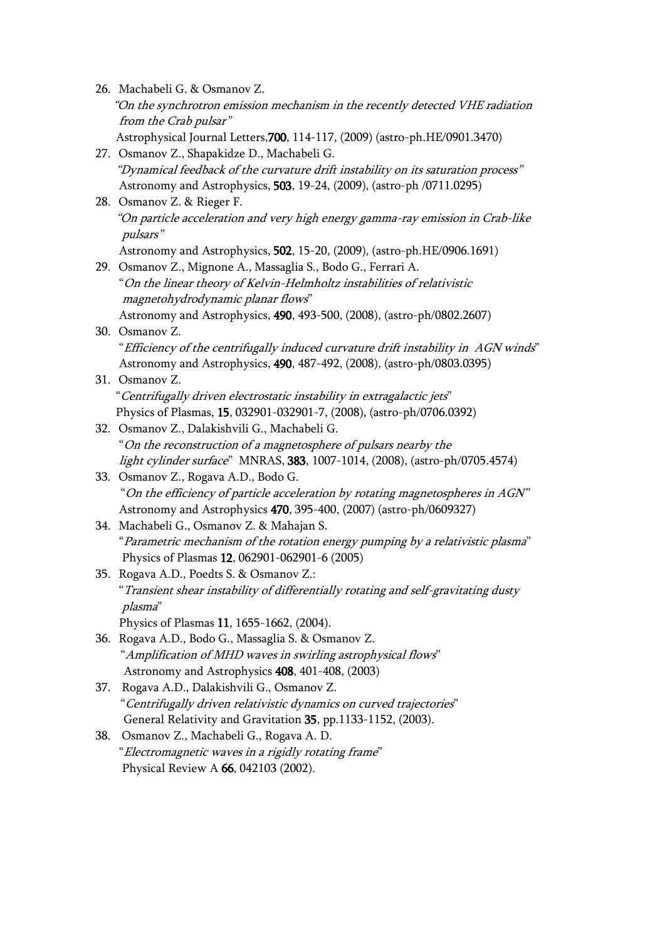|     | 26. Machabeli G. & Osmanov Z.                                                      |
|-----|------------------------------------------------------------------------------------|
|     | "On the synchrotron emission mechanism in the recently detected VHE radiation      |
|     | from the Crab pulsar"                                                              |
|     | Astrophysical Journal Letters, 700, 114-117, (2009) (astro-ph.HE/0901.3470)        |
|     | 27. Osmanov Z., Shapakidze D., Machabeli G.                                        |
|     | "Dynamical feedback of the curvature drift instability on its saturation process"  |
|     | Astronomy and Astrophysics, 503, 19-24, (2009), (astro-ph /0711.0295)              |
|     | 28. Osmanov Z. & Rieger F.                                                         |
|     | "On particle acceleration and very high energy gamma-ray emission in Crab-like     |
|     | pulsars"                                                                           |
|     | Astronomy and Astrophysics, 502, 15-20, (2009), (astro-ph.HE/0906.1691)            |
|     | 29. Osmanov Z., Mignone A., Massaglia S., Bodo G., Ferrari A.                      |
|     | "On the linear theory of Kelvin-Helmholtz instabilities of relativistic            |
|     | magnetohydrodynamic planar flows"                                                  |
|     | Astronomy and Astrophysics, 490, 493-500, (2008), (astro-ph/0802.2607)             |
|     | 30. Osmanov Z.                                                                     |
|     | "Efficiency of the centrifugally induced curvature drift instability in AGN winds" |
|     | Astronomy and Astrophysics, 490, 487-492, (2008), (astro-ph/0803.0395)             |
|     | 31. Osmanov Z.                                                                     |
|     | "Centrifugally driven electrostatic instability in extragalactic jets"             |
|     | Physics of Plasmas, 15, 032901-032901-7, (2008), (astro-ph/0706.0392)              |
|     | 32. Osmanov Z., Dalakishvili G., Machabeli G.                                      |
|     | "On the reconstruction of a magnetosphere of pulsars nearby the                    |
|     | light cylinder surface" MNRAS, 383, 1007-1014, (2008), (astro-ph/0705.4574)        |
|     | 33. Osmanov Z., Rogava A.D., Bodo G.                                               |
|     | "On the efficiency of particle acceleration by rotating magnetospheres in AGN"     |
|     | Astronomy and Astrophysics 470, 395-400, (2007) (astro-ph/0609327)                 |
|     | 34. Machabeli G., Osmanov Z. & Mahajan S.                                          |
|     | "Parametric mechanism of the rotation energy pumping by a relativistic plasma"     |
|     | Physics of Plasmas 12, 062901-062901-6 (2005)                                      |
|     | 35. Rogava A.D., Poedts S. & Osmanov Z.:                                           |
|     | "Transient shear instability of differentially rotating and self-gravitating dusty |
|     | plasma"                                                                            |
|     | Physics of Plasmas 11, 1655-1662, (2004).                                          |
|     | 36. Rogava A.D., Bodo G., Massaglia S. & Osmanov Z.                                |
|     | "Amplification of MHD waves in swirling astrophysical flows"                       |
|     | Astronomy and Astrophysics 408, 401-408, (2003)                                    |
| 37. | Rogava A.D., Dalakishvili G., Osmanov Z.                                           |
|     | "Centrifugally driven relativistic dynamics on curved trajectories"                |
|     | General Relativity and Gravitation 35, pp.1133-1152, (2003).                       |
| 38. | Osmanov Z., Machabeli G., Rogava A. D.                                             |
|     | "Electromagnetic waves in a rigidly rotating frame"                                |

Physical Review A **66**, 042103 (2002).